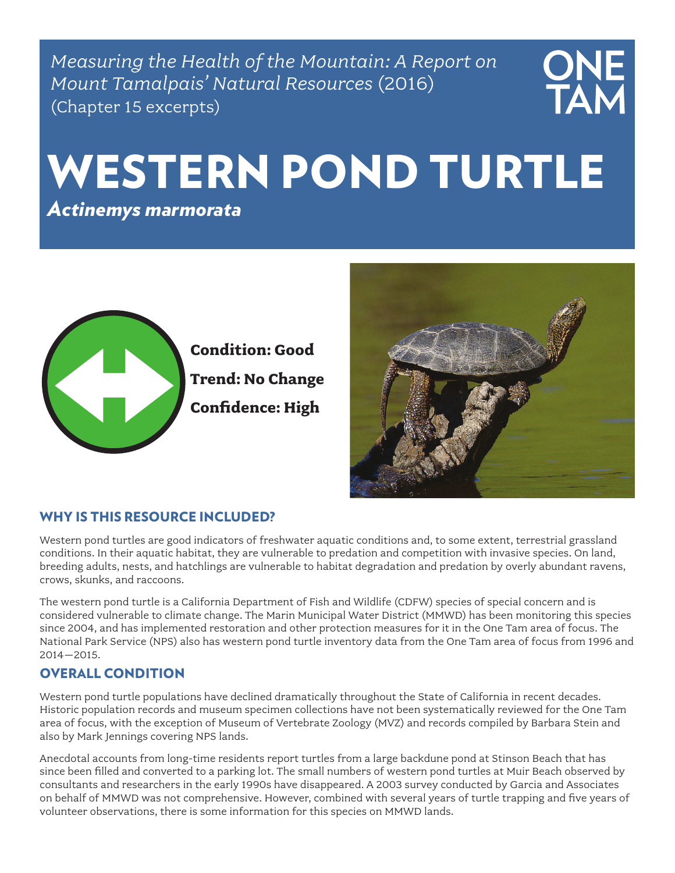*Measuring the Health of the Mountain: A Report on Mount Tamalpais' Natural Resources* (2016) (Chapter 15 excerpts)

# WESTERN POND TURTLE

*Actinemys marmorata*



**Condition: Good Trend: No Change Confidence: High**



#### WHY IS THIS RESOURCE INCLUDED?

Western pond turtles are good indicators of freshwater aquatic conditions and, to some extent, terrestrial grassland conditions. In their aquatic habitat, they are vulnerable to predation and competition with invasive species. On land, breeding adults, nests, and hatchlings are vulnerable to habitat degradation and predation by overly abundant ravens, crows, skunks, and raccoons.

The western pond turtle is a California Department of Fish and Wildlife (CDFW) species of special concern and is considered vulnerable to climate change. The Marin Municipal Water District (MMWD) has been monitoring this species since 2004, and has implemented restoration and other protection measures for it in the One Tam area of focus. The National Park Service (NPS) also has western pond turtle inventory data from the One Tam area of focus from 1996 and 2014–2015.

# OVERALL CONDITION

Western pond turtle populations have declined dramatically throughout the State of California in recent decades. Historic population records and museum specimen collections have not been systematically reviewed for the One Tam area of focus, with the exception of Museum of Vertebrate Zoology (MVZ) and records compiled by Barbara Stein and also by Mark Jennings covering NPS lands.

Anecdotal accounts from long-time residents report turtles from a large backdune pond at Stinson Beach that has since been filled and converted to a parking lot. The small numbers of western pond turtles at Muir Beach observed by consultants and researchers in the early 1990s have disappeared. A 2003 survey conducted by Garcia and Associates on behalf of MMWD was not comprehensive. However, combined with several years of turtle trapping and five years of volunteer observations, there is some information for this species on MMWD lands.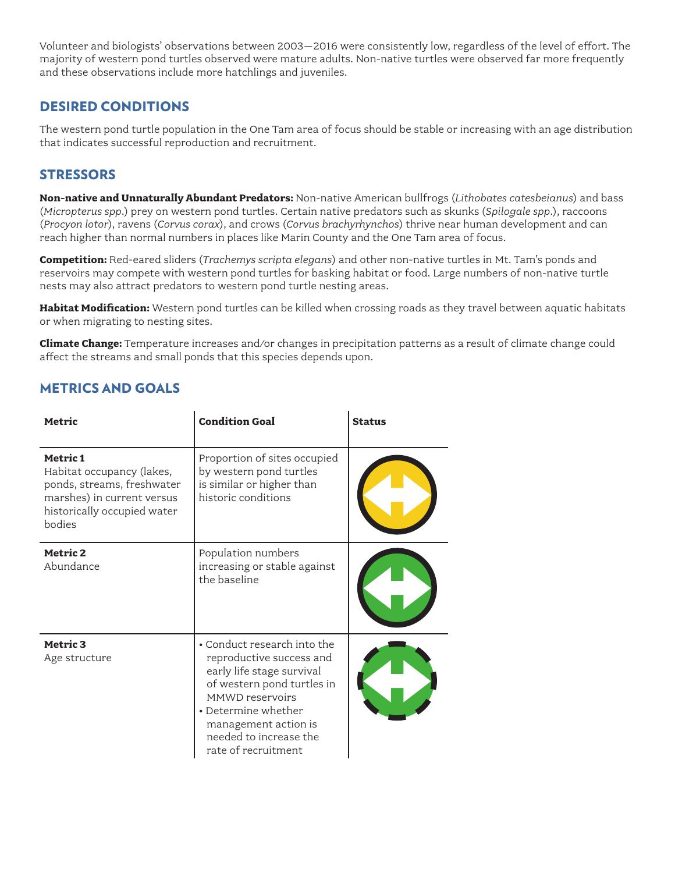Volunteer and biologists' observations between 2003–2016 were consistently low, regardless of the level of effort. The majority of western pond turtles observed were mature adults. Non-native turtles were observed far more frequently and these observations include more hatchlings and juveniles.

# DESIRED CONDITIONS

The western pond turtle population in the One Tam area of focus should be stable or increasing with an age distribution that indicates successful reproduction and recruitment.

#### **STRESSORS**

**Non-native and Unnaturally Abundant Predators:** Non-native American bullfrogs (*Lithobates catesbeianus*) and bass (*Micropterus spp*.) prey on western pond turtles. Certain native predators such as skunks (*Spilogale spp*.), raccoons (*Procyon lotor*), ravens (*Corvus corax*), and crows (*Corvus brachyrhynchos*) thrive near human development and can reach higher than normal numbers in places like Marin County and the One Tam area of focus.

**Competition:** Red-eared sliders (*Trachemys scripta elegans*) and other non-native turtles in Mt. Tam's ponds and reservoirs may compete with western pond turtles for basking habitat or food. Large numbers of non-native turtle nests may also attract predators to western pond turtle nesting areas.

**Habitat Modification:** Western pond turtles can be killed when crossing roads as they travel between aquatic habitats or when migrating to nesting sites.

**Climate Change:** Temperature increases and/or changes in precipitation patterns as a result of climate change could affect the streams and small ponds that this species depends upon.

# METRICS AND GOALS

| Metric                                                                                                                                     | <b>Condition Goal</b>                                                                                                                                                                                                                         | <b>Status</b> |
|--------------------------------------------------------------------------------------------------------------------------------------------|-----------------------------------------------------------------------------------------------------------------------------------------------------------------------------------------------------------------------------------------------|---------------|
| Metric 1<br>Habitat occupancy (lakes,<br>ponds, streams, freshwater<br>marshes) in current versus<br>historically occupied water<br>hodies | Proportion of sites occupied<br>by western pond turtles<br>is similar or higher than<br>historic conditions                                                                                                                                   |               |
| <b>Metric 2</b><br>Abundance                                                                                                               | Population numbers<br>increasing or stable against<br>the baseline                                                                                                                                                                            |               |
| Metric 3<br>Age structure                                                                                                                  | • Conduct research into the<br>reproductive success and<br>early life stage survival<br>of western pond turtles in<br>MMWD reservoirs<br>$\bullet$ Determine whether<br>management action is<br>needed to increase the<br>rate of recruitment |               |